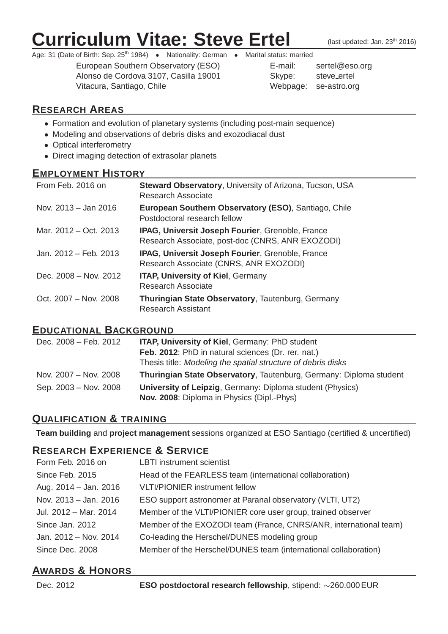# **Curriculum Vitae: Steve Ertel** (last updated: Jan. 23th 2016)

Age: 31 (Date of Birth: Sep. 25<sup>th</sup> 1984) • Nationality: German • Marital status: married

European Southern Observatory (ESO) E-mail: sertel@eso.org Alonso de Cordova 3107, Casilla 19001 Vitacura, Santiago, Chile Websaue: se-astronomy Network

| E-mail:  | sertel@eso.o |
|----------|--------------|
| Skype:   | steve ertel  |
| Nebpage: | se-astro.org |

# **RESEARCH AREAS**

- Formation and evolution of planetary systems (including post-main sequence)
- Modeling and observations of debris disks and exozodiacal dust
- Optical interferometry
- Direct imaging detection of extrasolar planets

#### **EMPLOYMENT HISTORY**

| From Feb. 2016 on     | <b>Steward Observatory, University of Arizona, Tucson, USA</b><br><b>Research Associate</b>                 |
|-----------------------|-------------------------------------------------------------------------------------------------------------|
| Nov. 2013 – Jan 2016  | European Southern Observatory (ESO), Santiago, Chile<br>Postdoctoral research fellow                        |
| Mar. 2012 – Oct. 2013 | <b>IPAG, Universit Joseph Fourier, Grenoble, France</b><br>Research Associate, post-doc (CNRS, ANR EXOZODI) |
| Jan. 2012 – Feb. 2013 | <b>IPAG, Universit Joseph Fourier, Grenoble, France</b><br>Research Associate (CNRS, ANR EXOZODI)           |
| Dec. 2008 – Nov. 2012 | <b>ITAP, University of Kiel, Germany</b><br><b>Research Associate</b>                                       |
| Oct. 2007 - Nov. 2008 | Thuringian State Observatory, Tautenburg, Germany<br><b>Research Assistant</b>                              |

#### **EDUCATIONAL BACKGROUND**

| Dec. 2008 – Feb. 2012 | <b>ITAP, University of Kiel, Germany: PhD student</b><br>Feb. 2012: PhD in natural sciences (Dr. rer. nat.)<br>Thesis title: Modeling the spatial structure of debris disks |
|-----------------------|-----------------------------------------------------------------------------------------------------------------------------------------------------------------------------|
| Nov. 2007 – Nov. 2008 | Thuringian State Observatory, Tautenburg, Germany: Diploma student                                                                                                          |
| Sep. 2003 – Nov. 2008 | University of Leipzig, Germany: Diploma student (Physics)<br>Nov. 2008: Diploma in Physics (Dipl.-Phys)                                                                     |

# **QUALIFICATION & TRAINING**

**Team building** and **project management** sessions organized at ESO Santiago (certified & uncertified)

### **RESEARCH EXPERIENCE & SERVICE**

| Form Feb. 2016 on     | <b>LBTI</b> instrument scientist                                  |
|-----------------------|-------------------------------------------------------------------|
| Since Feb. 2015       | Head of the FEARLESS team (international collaboration)           |
| Aug. 2014 - Jan. 2016 | <b>VLTI/PIONIER instrument fellow</b>                             |
| Nov. 2013 - Jan. 2016 | ESO support astronomer at Paranal observatory (VLTI, UT2)         |
| Jul. 2012 - Mar. 2014 | Member of the VLTI/PIONIER core user group, trained observer      |
| Since Jan. 2012       | Member of the EXOZODI team (France, CNRS/ANR, international team) |
| Jan. 2012 - Nov. 2014 | Co-leading the Herschel/DUNES modeling group                      |
| Since Dec. 2008       | Member of the Herschel/DUNES team (international collaboration)   |
|                       |                                                                   |

# **AWARDS & HONORS**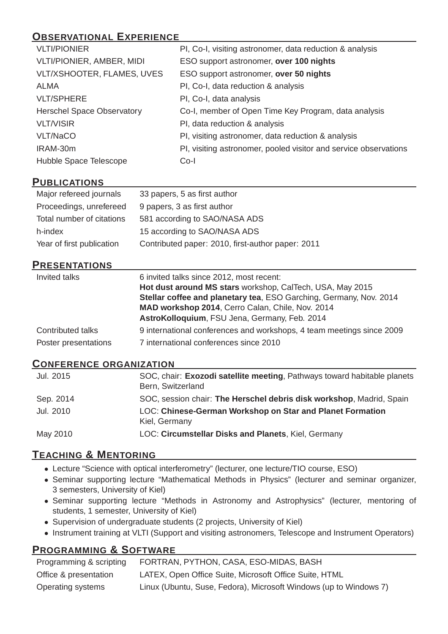# **OBSERVATIONAL EXPERIENCE**

| <b>VLTI/PIONIER</b>               | PI, Co-I, visiting astronomer, data reduction & analysis         |
|-----------------------------------|------------------------------------------------------------------|
| <b>VLTI/PIONIER, AMBER, MIDI</b>  | ESO support astronomer, over 100 nights                          |
| VLT/XSHOOTER, FLAMES, UVES        | ESO support astronomer, over 50 nights                           |
| ALMA                              | PI, Co-I, data reduction & analysis                              |
| <b>VLT/SPHERE</b>                 | PI, Co-I, data analysis                                          |
| <b>Herschel Space Observatory</b> | Co-I, member of Open Time Key Program, data analysis             |
| <b>VLT/VISIR</b>                  | PI, data reduction & analysis                                    |
| VLT/NaCO                          | PI, visiting astronomer, data reduction & analysis               |
| IRAM-30m                          | PI, visiting astronomer, pooled visitor and service observations |
| Hubble Space Telescope            | $Co-I$                                                           |

### **PUBLICATIONS**

| Major refereed journals   | 33 papers, 5 as first author                      |
|---------------------------|---------------------------------------------------|
| Proceedings, unrefereed   | 9 papers, 3 as first author                       |
| Total number of citations | 581 according to SAO/NASA ADS                     |
| h-index                   | 15 according to SAO/NASA ADS                      |
| Year of first publication | Contributed paper: 2010, first-author paper: 2011 |

#### **PRESENTATIONS**

| Invited talks        | 6 invited talks since 2012, most recent:<br>Hot dust around MS stars workshop, CalTech, USA, May 2015<br>Stellar coffee and planetary tea, ESO Garching, Germany, Nov. 2014<br>MAD workshop 2014, Cerro Calan, Chile, Nov. 2014<br>AstroKolloquium, FSU Jena, Germany, Feb. 2014 |
|----------------------|----------------------------------------------------------------------------------------------------------------------------------------------------------------------------------------------------------------------------------------------------------------------------------|
| Contributed talks    | 9 international conferences and workshops, 4 team meetings since 2009                                                                                                                                                                                                            |
| Poster presentations | 7 international conferences since 2010                                                                                                                                                                                                                                           |

#### **CONFERENCE ORGANIZATION**

| Jul. 2015 | SOC, chair: Exozodi satellite meeting, Pathways toward habitable planets<br>Bern, Switzerland |
|-----------|-----------------------------------------------------------------------------------------------|
| Sep. 2014 | SOC, session chair: The Herschel debris disk workshop, Madrid, Spain                          |
| Jul. 2010 | <b>LOC: Chinese-German Workshop on Star and Planet Formation</b><br>Kiel, Germany             |
| May 2010  | LOC: Circumstellar Disks and Planets, Kiel, Germany                                           |

### **TEACHING & MENTORING**

- Lecture "Science with optical interferometry" (lecturer, one lecture/TIO course, ESO)
- Seminar supporting lecture "Mathematical Methods in Physics" (lecturer and seminar organizer, 3 semesters, University of Kiel)
- Seminar supporting lecture "Methods in Astronomy and Astrophysics" (lecturer, mentoring of students, 1 semester, University of Kiel)
- Supervision of undergraduate students (2 projects, University of Kiel)
- Instrument training at VLTI (Support and visiting astronomers, Telescope and Instrument Operators)

# **PROGRAMMING & SOFTWARE**

| Programming & scripting | FORTRAN, PYTHON, CASA, ESO-MIDAS, BASH                            |
|-------------------------|-------------------------------------------------------------------|
| Office & presentation   | LATEX, Open Office Suite, Microsoft Office Suite, HTML            |
| Operating systems       | Linux (Ubuntu, Suse, Fedora), Microsoft Windows (up to Windows 7) |